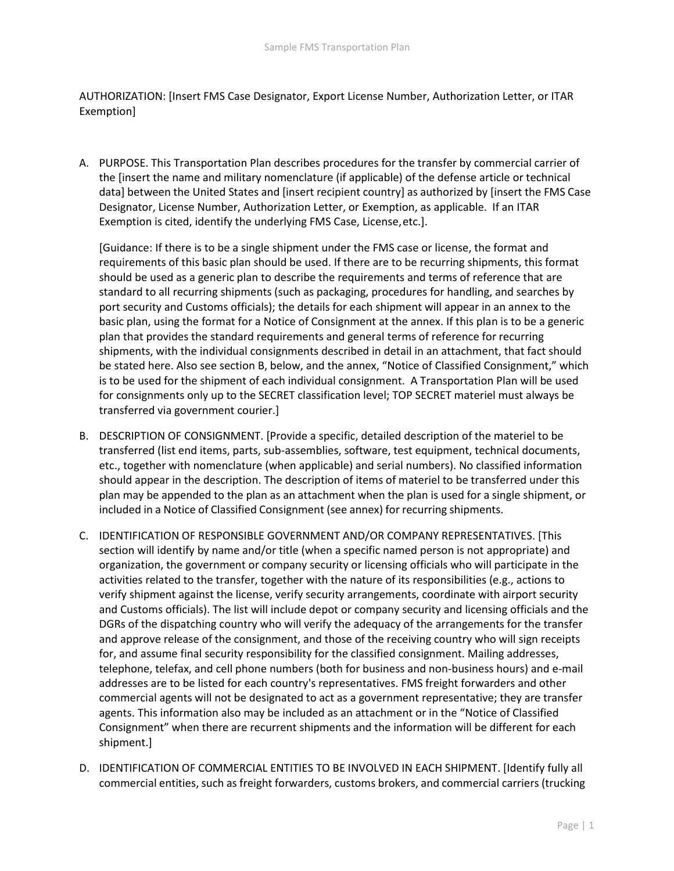AUTHORIZATION: [Insert FMS Case Designator, Export License Number, Authorization Letter, or ITAR Exemption]

A. PURPOSE. This Transportation Plan describes procedures for the transfer by commercial carrier of the [insert the name and military nomenclature (if applicable) of the defense article or technical data] between the United States and [insert recipient country] as authorized by [insert the FMS Case Designator, License Number, Authorization Letter, or Exemption, as applicable. If an ITAR Exemption is cited, identify the underlying FMS Case, License,etc.].

[Guidance: If there is to be a single shipment under the FMS case or license, the format and requirements of this basic plan should be used. If there are to be recurring shipments, this format should be used as a generic plan to describe the requirements and terms of reference that are standard to all recurring shipments (such as packaging, procedures for handling, and searches by port security and Customs officials); the details for each shipment will appear in an annex to the basic plan, using the format for a Notice of Consignment at the annex. If this plan is to be a generic plan that provides the standard requirements and general terms of reference for recurring shipments, with the individual consignments described in detail in an attachment, that fact should be stated here. Also see section B, below, and the annex, "Notice of Classified Consignment," which is to be used for the shipment of each individual consignment. A Transportation Plan will be used for consignments only up to the SECRET classification level; TOP SECRET materiel must always be transferred via government courier.]

- B. DESCRIPTION OF CONSIGNMENT. [Provide a specific, detailed description of the materiel to be transferred (list end items, parts, sub-assemblies, software, test equipment, technical documents, etc., together with nomenclature (when applicable) and serial numbers). No classified information should appear in the description. The description of items of materiel to be transferred under this plan may be appended to the plan as an attachment when the plan is used for a single shipment, or included in a Notice of Classified Consignment (see annex) for recurring shipments.
- C. IDENTIFICATION OF RESPONSIBLE GOVERNMENT AND/OR COMPANY REPRESENTATIVES. [This section will identify by name and/or title (when a specific named person is not appropriate) and organization, the government or company security or licensing officials who will participate in the activities related to the transfer, together with the nature of its responsibilities (e.g., actions to verify shipment against the license, verify security arrangements, coordinate with airport security and Customs officials). The list will include depot or company security and licensing officials and the DGRs of the dispatching country who will verify the adequacy of the arrangements for the transfer and approve release of the consignment, and those of the receiving country who will sign receipts for, and assume final security responsibility for the classified consignment. Mailing addresses, telephone, telefax, and cell phone numbers (both for business and non-business hours) and e-mail addresses are to be listed for each country's representatives. FMS freight forwarders and other commercial agents will not be designated to act as a government representative; they are transfer agents. This information also may be included as an attachment or in the "Notice of Classified Consignment" when there are recurrent shipments and the information will be different for each shipment.]
- D. IDENTIFICATION OF COMMERCIAL ENTITIES TO BE INVOLVED IN EACH SHIPMENT. [Identify fully all commercial entities, such as freight forwarders, customs brokers, and commercial carriers (trucking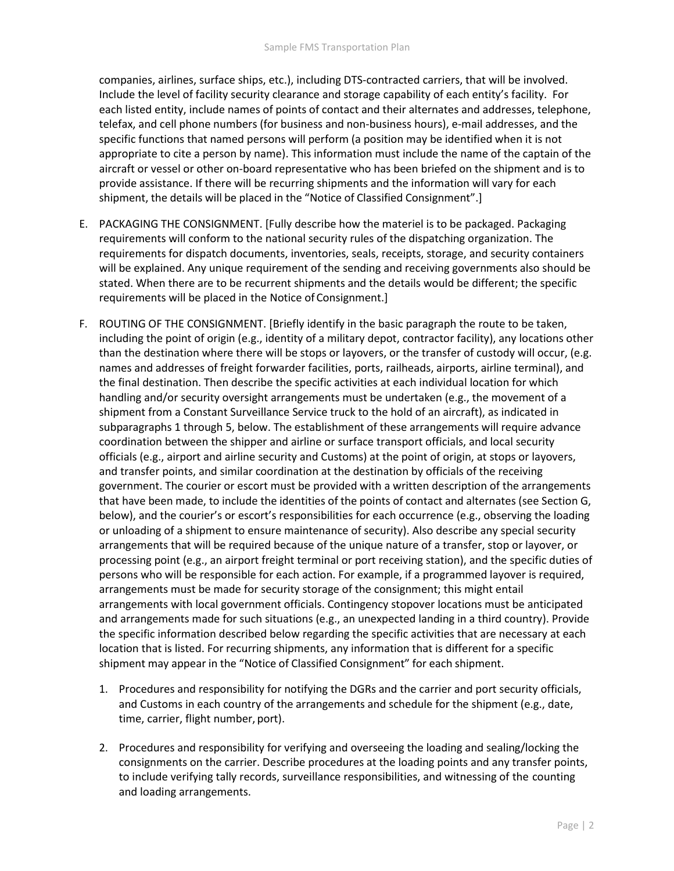companies, airlines, surface ships, etc.), including DTS-contracted carriers, that will be involved. Include the level of facility security clearance and storage capability of each entity's facility. For each listed entity, include names of points of contact and their alternates and addresses, telephone, telefax, and cell phone numbers (for business and non-business hours), e-mail addresses, and the specific functions that named persons will perform (a position may be identified when it is not appropriate to cite a person by name). This information must include the name of the captain of the aircraft or vessel or other on-board representative who has been briefed on the shipment and is to provide assistance. If there will be recurring shipments and the information will vary for each shipment, the details will be placed in the "Notice of Classified Consignment".]

- E. PACKAGING THE CONSIGNMENT. [Fully describe how the materiel is to be packaged. Packaging requirements will conform to the national security rules of the dispatching organization. The requirements for dispatch documents, inventories, seals, receipts, storage, and security containers will be explained. Any unique requirement of the sending and receiving governments also should be stated. When there are to be recurrent shipments and the details would be different; the specific requirements will be placed in the Notice of Consignment.]
- F. ROUTING OF THE CONSIGNMENT. [Briefly identify in the basic paragraph the route to be taken, including the point of origin (e.g., identity of a military depot, contractor facility), any locations other than the destination where there will be stops or layovers, or the transfer of custody will occur, (e.g. names and addresses of freight forwarder facilities, ports, railheads, airports, airline terminal), and the final destination. Then describe the specific activities at each individual location for which handling and/or security oversight arrangements must be undertaken (e.g., the movement of a shipment from a Constant Surveillance Service truck to the hold of an aircraft), as indicated in subparagraphs 1 through 5, below. The establishment of these arrangements will require advance coordination between the shipper and airline or surface transport officials, and local security officials (e.g., airport and airline security and Customs) at the point of origin, at stops or layovers, and transfer points, and similar coordination at the destination by officials of the receiving government. The courier or escort must be provided with a written description of the arrangements that have been made, to include the identities of the points of contact and alternates (see Section G, below), and the courier's or escort's responsibilities for each occurrence (e.g., observing the loading or unloading of a shipment to ensure maintenance of security). Also describe any special security arrangements that will be required because of the unique nature of a transfer, stop or layover, or processing point (e.g., an airport freight terminal or port receiving station), and the specific duties of persons who will be responsible for each action. For example, if a programmed layover is required, arrangements must be made for security storage of the consignment; this might entail arrangements with local government officials. Contingency stopover locations must be anticipated and arrangements made for such situations (e.g., an unexpected landing in a third country). Provide the specific information described below regarding the specific activities that are necessary at each location that is listed. For recurring shipments, any information that is different for a specific shipment may appear in the "Notice of Classified Consignment" for each shipment.
	- 1. Procedures and responsibility for notifying the DGRs and the carrier and port security officials, and Customs in each country of the arrangements and schedule for the shipment (e.g., date, time, carrier, flight number, port).
	- 2. Procedures and responsibility for verifying and overseeing the loading and sealing/locking the consignments on the carrier. Describe procedures at the loading points and any transfer points, to include verifying tally records, surveillance responsibilities, and witnessing of the counting and loading arrangements.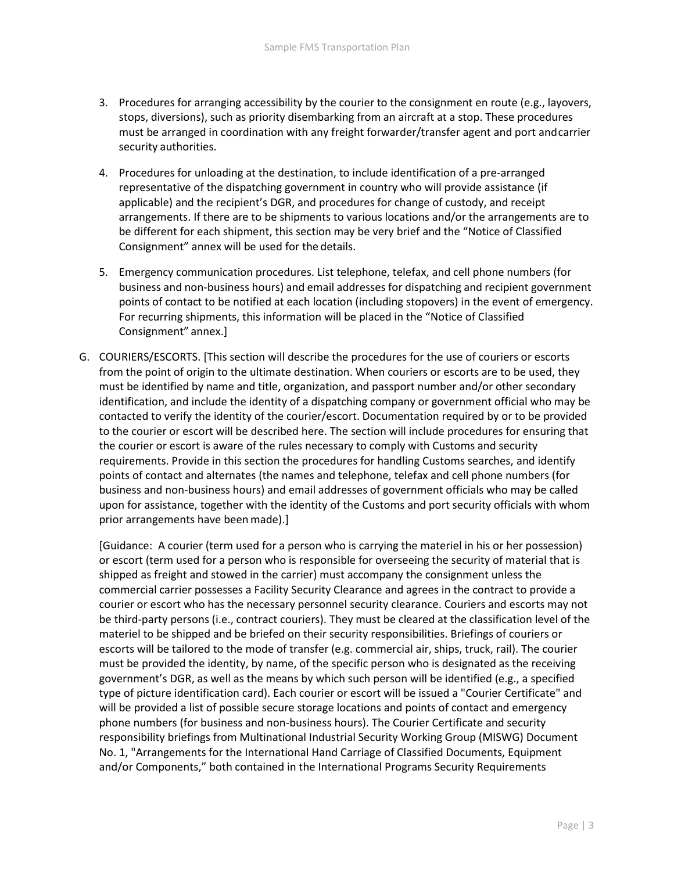- 3. Procedures for arranging accessibility by the courier to the consignment en route (e.g., layovers, stops, diversions), such as priority disembarking from an aircraft at a stop. These procedures must be arranged in coordination with any freight forwarder/transfer agent and port andcarrier security authorities.
- 4. Procedures for unloading at the destination, to include identification of a pre-arranged representative of the dispatching government in country who will provide assistance (if applicable) and the recipient's DGR, and procedures for change of custody, and receipt arrangements. If there are to be shipments to various locations and/or the arrangements are to be different for each shipment, this section may be very brief and the "Notice of Classified Consignment" annex will be used for the details.
- 5. Emergency communication procedures. List telephone, telefax, and cell phone numbers (for business and non-business hours) and email addresses for dispatching and recipient government points of contact to be notified at each location (including stopovers) in the event of emergency. For recurring shipments, this information will be placed in the "Notice of Classified Consignment" annex.]
- G. COURIERS/ESCORTS. [This section will describe the procedures for the use of couriers or escorts from the point of origin to the ultimate destination. When couriers or escorts are to be used, they must be identified by name and title, organization, and passport number and/or other secondary identification, and include the identity of a dispatching company or government official who may be contacted to verify the identity of the courier/escort. Documentation required by or to be provided to the courier or escort will be described here. The section will include procedures for ensuring that the courier or escort is aware of the rules necessary to comply with Customs and security requirements. Provide in this section the procedures for handling Customs searches, and identify points of contact and alternates (the names and telephone, telefax and cell phone numbers (for business and non-business hours) and email addresses of government officials who may be called upon for assistance, together with the identity of the Customs and port security officials with whom prior arrangements have beenmade).]

[Guidance: A courier (term used for a person who is carrying the materiel in his or her possession) or escort (term used for a person who is responsible for overseeing the security of material that is shipped as freight and stowed in the carrier) must accompany the consignment unless the commercial carrier possesses a Facility Security Clearance and agrees in the contract to provide a courier or escort who has the necessary personnel security clearance. Couriers and escorts may not be third-party persons (i.e., contract couriers). They must be cleared at the classification level of the materiel to be shipped and be briefed on their security responsibilities. Briefings of couriers or escorts will be tailored to the mode of transfer (e.g. commercial air, ships, truck, rail). The courier must be provided the identity, by name, of the specific person who is designated as the receiving government's DGR, as well as the means by which such person will be identified (e.g., a specified type of picture identification card). Each courier or escort will be issued a "Courier Certificate" and will be provided a list of possible secure storage locations and points of contact and emergency phone numbers (for business and non-business hours). The Courier Certificate and security responsibility briefings from Multinational Industrial Security Working Group (MISWG) Document No. 1, "Arrangements for the International Hand Carriage of Classified Documents, Equipment and/or Components," both contained in the International Programs Security Requirements